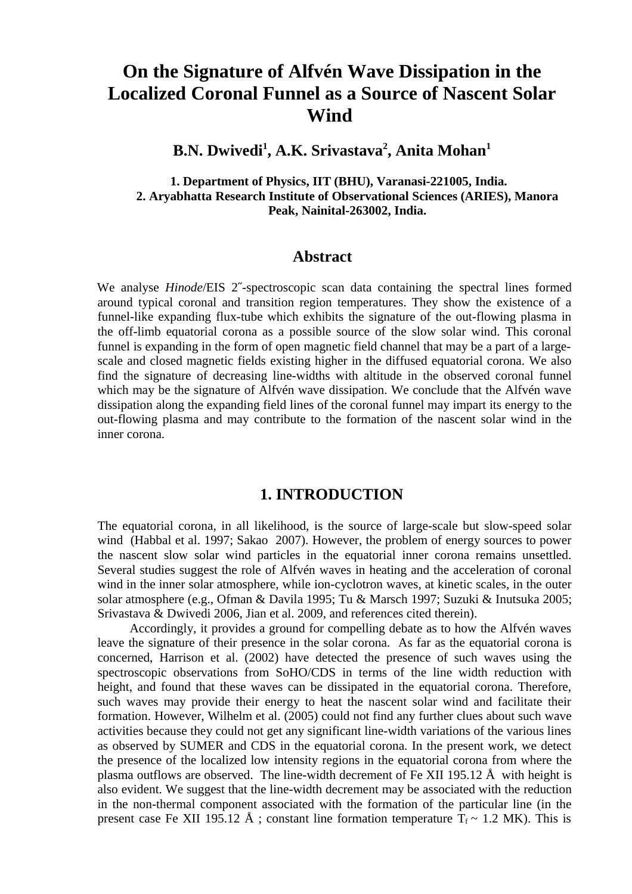# **On the Signature of Alfvén Wave Dissipation in the Localized Coronal Funnel as a Source of Nascent Solar Wind**

**B.N. Dwivedi<sup>1</sup> , A.K. Srivastava<sup>2</sup> , Anita Mohan<sup>1</sup>**

 **1. Department of Physics, IIT (BHU), Varanasi-221005, India. 2. Aryabhatta Research Institute of Observational Sciences (ARIES), Manora Peak, Nainital-263002, India.**

### **Abstract**

 We analyse *Hinode*/EIS 2˝-spectroscopic scan data containing the spectral lines formed around typical coronal and transition region temperatures. They show the existence of a funnel-like expanding flux-tube which exhibits the signature of the out-flowing plasma in the off-limb equatorial corona as a possible source of the slow solar wind. This coronal funnel is expanding in the form of open magnetic field channel that may be a part of a largescale and closed magnetic fields existing higher in the diffused equatorial corona. We also find the signature of decreasing line-widths with altitude in the observed coronal funnel which may be the signature of Alfvén wave dissipation. We conclude that the Alfvén wave dissipation along the expanding field lines of the coronal funnel may impart its energy to the out-flowing plasma and may contribute to the formation of the nascent solar wind in the inner corona.

### **1. INTRODUCTION**

The equatorial corona, in all likelihood, is the source of large-scale but slow-speed solar wind (Habbal et al. 1997; Sakao 2007). However, the problem of energy sources to power the nascent slow solar wind particles in the equatorial inner corona remains unsettled. Several studies suggest the role of Alfvén waves in heating and the acceleration of coronal wind in the inner solar atmosphere, while ion-cyclotron waves, at kinetic scales, in the outer solar atmosphere (e.g., Ofman & Davila 1995; Tu & Marsch 1997; Suzuki & Inutsuka 2005; Srivastava & Dwivedi 2006, Jian et al. 2009, and references cited therein).

Accordingly, it provides a ground for compelling debate as to how the Alfvén waves leave the signature of their presence in the solar corona. As far as the equatorial corona is concerned, Harrison et al. (2002) have detected the presence of such waves using the spectroscopic observations from SoHO/CDS in terms of the line width reduction with height, and found that these waves can be dissipated in the equatorial corona. Therefore, such waves may provide their energy to heat the nascent solar wind and facilitate their formation. However, Wilhelm et al. (2005) could not find any further clues about such wave activities because they could not get any significant line-width variations of the various lines as observed by SUMER and CDS in the equatorial corona. In the present work, we detect the presence of the localized low intensity regions in the equatorial corona from where the plasma outflows are observed. The line-width decrement of Fe XII 195.12  $\AA$  with height is also evident. We suggest that the line-width decrement may be associated with the reduction in the non-thermal component associated with the formation of the particular line (in the present case Fe XII 195.12 Å ; constant line formation temperature  $T_f \sim 1.2$  MK). This is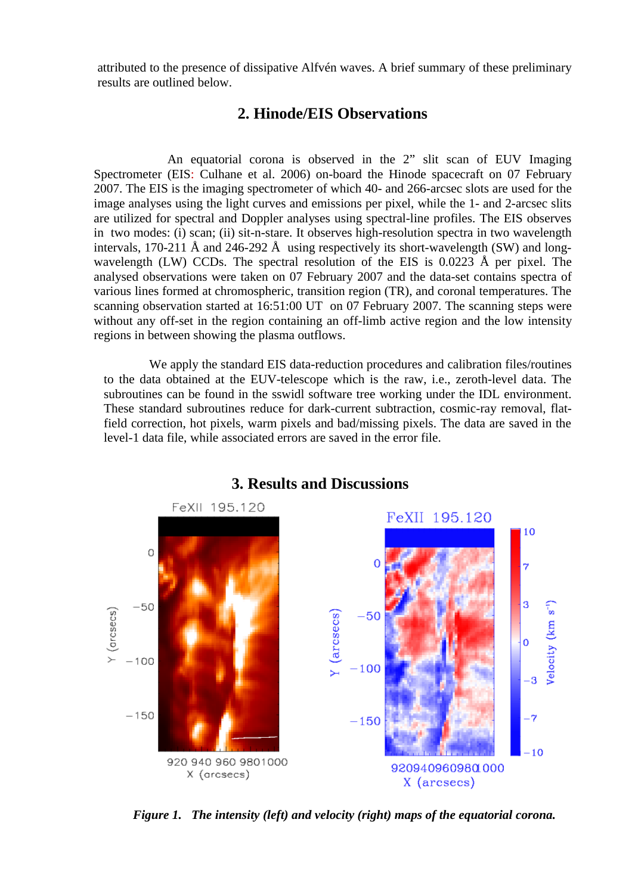attributed to the presence of dissipative Alfvén waves. A brief summary of these preliminary results are outlined below.

## **2. Hinode/EIS Observations**

An equatorial corona is observed in the 2" slit scan of EUV Imaging Spectrometer (EIS: Culhane et al. 2006) on-board the Hinode spacecraft on 07 February 2007. The EIS is the imaging spectrometer of which 40- and 266-arcsec slots are used for the image analyses using the light curves and emissions per pixel, while the 1- and 2-arcsec slits are utilized for spectral and Doppler analyses using spectral-line profiles. The EIS observes in two modes: (i) scan; (ii) sit-n-stare. It observes high-resolution spectra in two wavelength intervals, 170-211 Å and 246-292 Å using respectively its short-wavelength (SW) and longwavelength (LW) CCDs. The spectral resolution of the EIS is 0.0223 Å per pixel. The analysed observations were taken on 07 February 2007 and the data-set contains spectra of various lines formed at chromospheric, transition region (TR), and coronal temperatures. The scanning observation started at 16:51:00 UT on 07 February 2007. The scanning steps were without any off-set in the region containing an off-limb active region and the low intensity regions in between showing the plasma outflows.

We apply the standard EIS data-reduction procedures and calibration files/routines to the data obtained at the EUV-telescope which is the raw, i.e., zeroth-level data. The subroutines can be found in the sswidl software tree working under the IDL environment. These standard subroutines reduce for dark-current subtraction, cosmic-ray removal, flatfield correction, hot pixels, warm pixels and bad/missing pixels. The data are saved in the level-1 data file, while associated errors are saved in the error file.



# **3. Results and Discussions**

*Figure 1. The intensity (left) and velocity (right) maps of the equatorial corona.*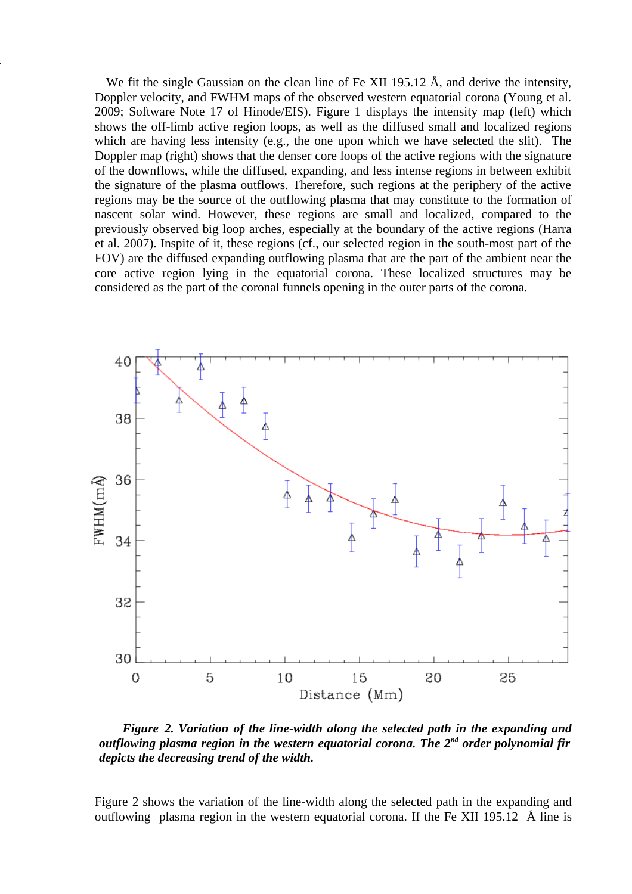We fit the single Gaussian on the clean line of Fe XII 195.12 Å, and derive the intensity, Doppler velocity, and FWHM maps of the observed western equatorial corona (Young et al. 2009; Software Note 17 of Hinode/EIS). Figure 1 displays the intensity map (left) which shows the off-limb active region loops, as well as the diffused small and localized regions which are having less intensity (e.g., the one upon which we have selected the slit). The Doppler map (right) shows that the denser core loops of the active regions with the signature of the downflows, while the diffused, expanding, and less intense regions in between exhibit the signature of the plasma outflows. Therefore, such regions at the periphery of the active regions may be the source of the outflowing plasma that may constitute to the formation of nascent solar wind. However, these regions are small and localized, compared to the previously observed big loop arches, especially at the boundary of the active regions (Harra et al. 2007). Inspite of it, these regions (cf., our selected region in the south-most part of the FOV) are the diffused expanding outflowing plasma that are the part of the ambient near the core active region lying in the equatorial corona. These localized structures may be considered as the part of the coronal funnels opening in the outer parts of the corona.

 $\ddot{\phantom{0}}$ 



 *Figure 2. Variation of the line-width along the selected path in the expanding and outflowing plasma region in the western equatorial corona. The 2nd order polynomial fir depicts the decreasing trend of the width.*

Figure 2 shows the variation of the line-width along the selected path in the expanding and outflowing plasma region in the western equatorial corona. If the Fe XII 195.12 Å line is